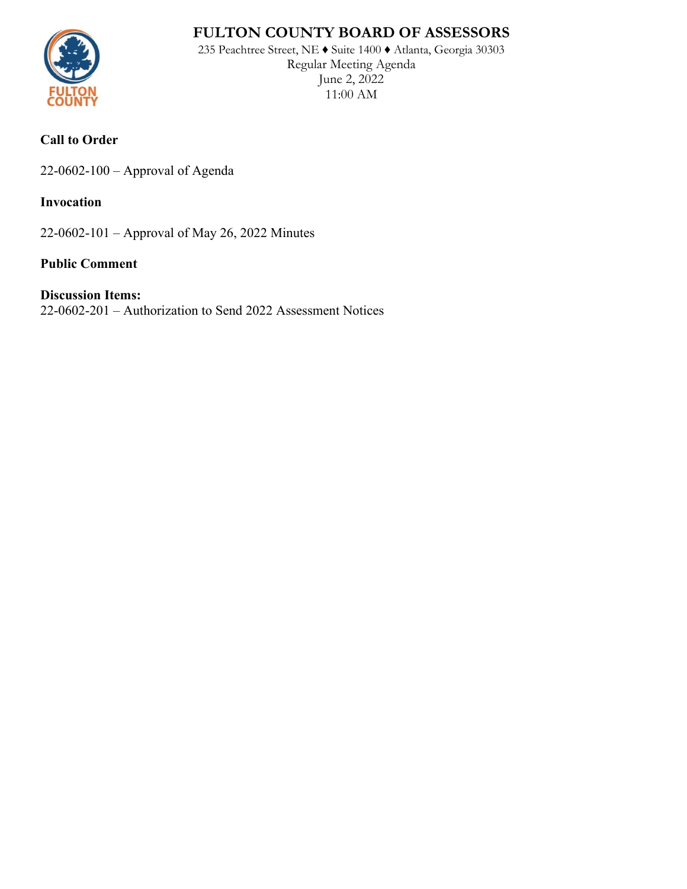# **FULTON COUNTY BOARD OF ASSESSORS**



235 Peachtree Street, NE ♦ Suite 1400 ♦ Atlanta, Georgia 30303 Regular Meeting Agenda June 2, 2022 11:00 AM

### **Call to Order**

22-0602-100 – Approval of Agenda

#### **Invocation**

22-0602-101 – Approval of May 26, 2022 Minutes

#### **Public Comment**

#### **Discussion Items:**

22-0602-201 – Authorization to Send 2022 Assessment Notices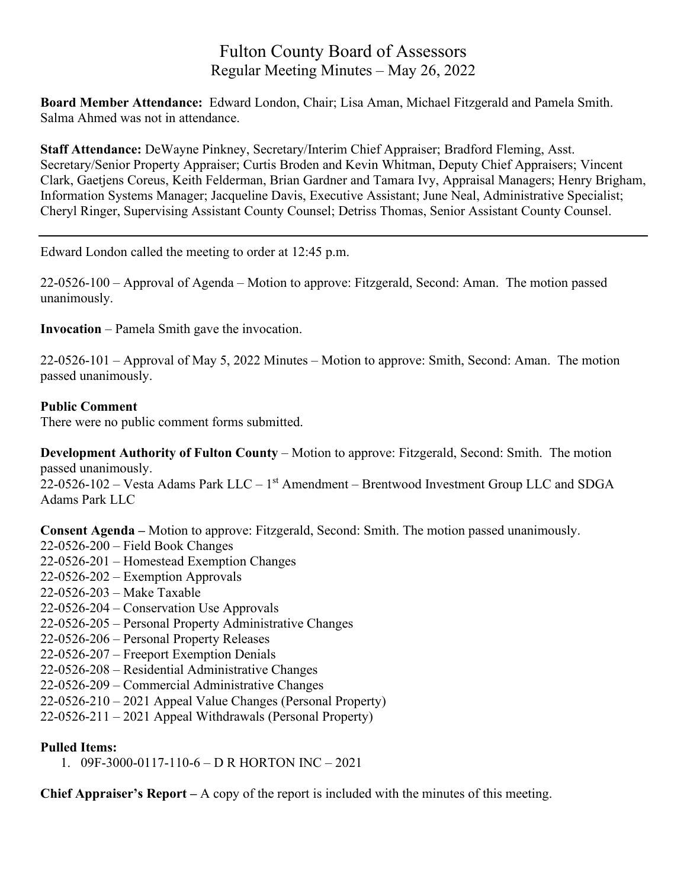## Fulton County Board of Assessors Regular Meeting Minutes – May 26, 2022

**Board Member Attendance:** Edward London, Chair; Lisa Aman, Michael Fitzgerald and Pamela Smith. Salma Ahmed was not in attendance.

**Staff Attendance:** DeWayne Pinkney, Secretary/Interim Chief Appraiser; Bradford Fleming, Asst. Secretary/Senior Property Appraiser; Curtis Broden and Kevin Whitman, Deputy Chief Appraisers; Vincent Clark, Gaetjens Coreus, Keith Felderman, Brian Gardner and Tamara Ivy, Appraisal Managers; Henry Brigham, Information Systems Manager; Jacqueline Davis, Executive Assistant; June Neal, Administrative Specialist; Cheryl Ringer, Supervising Assistant County Counsel; Detriss Thomas, Senior Assistant County Counsel.

Edward London called the meeting to order at 12:45 p.m.

22-0526-100 – Approval of Agenda – Motion to approve: Fitzgerald, Second: Aman. The motion passed unanimously.

**Invocation** – Pamela Smith gave the invocation.

22-0526-101 – Approval of May 5, 2022 Minutes – Motion to approve: Smith, Second: Aman. The motion passed unanimously.

#### **Public Comment**

There were no public comment forms submitted.

**Development Authority of Fulton County** – Motion to approve: Fitzgerald, Second: Smith. The motion passed unanimously.

 $22$ -0526-102 – Vesta Adams Park LLC – 1<sup>st</sup> Amendment – Brentwood Investment Group LLC and SDGA Adams Park LLC

**Consent Agenda –** Motion to approve: Fitzgerald, Second: Smith. The motion passed unanimously.

- 22-0526-200 Field Book Changes
- 22-0526-201 Homestead Exemption Changes
- 22-0526-202 Exemption Approvals
- 22-0526-203 Make Taxable
- 22-0526-204 Conservation Use Approvals
- 22-0526-205 Personal Property Administrative Changes
- 22-0526-206 Personal Property Releases
- 22-0526-207 Freeport Exemption Denials
- 22-0526-208 Residential Administrative Changes
- 22-0526-209 Commercial Administrative Changes
- 22-0526-210 2021 Appeal Value Changes (Personal Property)
- 22-0526-211 2021 Appeal Withdrawals (Personal Property)

#### **Pulled Items:**

1. 09F-3000-0117-110-6 – D R HORTON INC – 2021

**Chief Appraiser's Report –** A copy of the report is included with the minutes of this meeting.